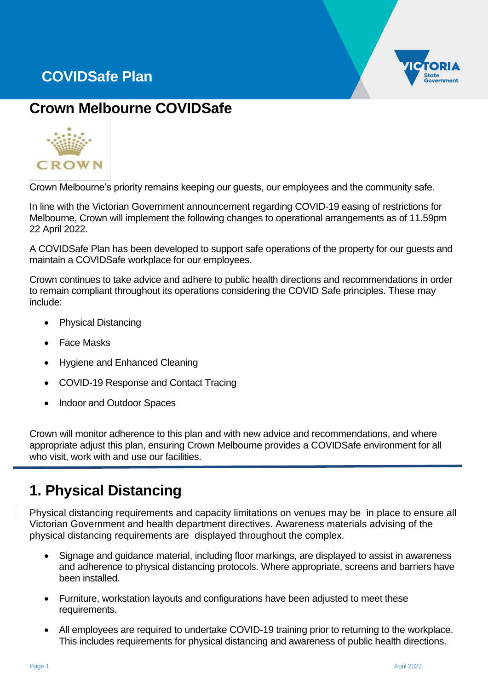# **COVIDSafe Plan**



## **Crown Melbourne COVIDSafe**



Crown Melbourne's priority remains keeping our guests, our employees and the community safe.

In line with the Victorian Government announcement regarding COVID-19 easing of restrictions for Melbourne, Crown will implement the following changes to operational arrangements as of 11.59pm 22 April 2022.

A COVIDSafe Plan has been developed to support safe operations of the property for our guests and maintain a COVIDSafe workplace for our employees.

Crown continues to take advice and adhere to public health directions and recommendations in order to remain compliant throughout its operations considering the COVID Safe principles. These may include:

- Physical Distancing
- **Face Masks**
- Hygiene and Enhanced Cleaning
- COVID-19 Response and Contact Tracing
- Indoor and Outdoor Spaces

Crown will monitor adherence to this plan and with new advice and recommendations, and where appropriate adjust this plan, ensuring Crown Melbourne provides a COVIDSafe environment for all who visit, work with and use our facilities.

### **1. Physical Distancing**

Physical distancing requirements and capacity limitations on venues may be- in place to ensure all Victorian Government and health department directives. Awareness materials advising of the physical distancing requirements are displayed throughout the complex.

- Signage and guidance material, including floor markings, are displayed to assist in awareness and adherence to physical distancing protocols. Where appropriate, screens and barriers have been installed.
- Furniture, workstation layouts and configurations have been adjusted to meet these requirements.
- All employees are required to undertake COVID-19 training prior to returning to the workplace. This includes requirements for physical distancing and awareness of public health directions.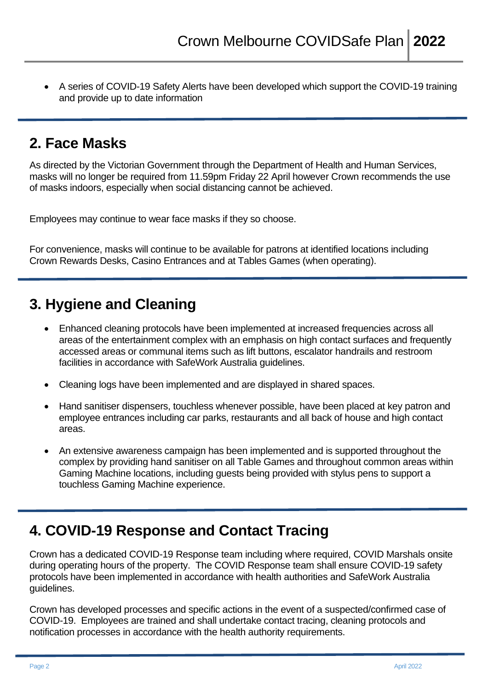• A series of COVID-19 Safety Alerts have been developed which support the COVID-19 training and provide up to date information

#### **2. Face Masks**

As directed by the Victorian Government through the Department of Health and Human Services, masks will no longer be required from 11.59pm Friday 22 April however Crown recommends the use of masks indoors, especially when social distancing cannot be achieved.

Employees may continue to wear face masks if they so choose.

For convenience, masks will continue to be available for patrons at identified locations including Crown Rewards Desks, Casino Entrances and at Tables Games (when operating).

## **3. Hygiene and Cleaning**

- Enhanced cleaning protocols have been implemented at increased frequencies across all areas of the entertainment complex with an emphasis on high contact surfaces and frequently accessed areas or communal items such as lift buttons, escalator handrails and restroom facilities in accordance with SafeWork Australia guidelines.
- Cleaning logs have been implemented and are displayed in shared spaces.
- Hand sanitiser dispensers, touchless whenever possible, have been placed at key patron and employee entrances including car parks, restaurants and all back of house and high contact areas.
- An extensive awareness campaign has been implemented and is supported throughout the complex by providing hand sanitiser on all Table Games and throughout common areas within Gaming Machine locations, including guests being provided with stylus pens to support a touchless Gaming Machine experience.

#### **4. COVID-19 Response and Contact Tracing**

Crown has a dedicated COVID-19 Response team including where required, COVID Marshals onsite during operating hours of the property. The COVID Response team shall ensure COVID-19 safety protocols have been implemented in accordance with health authorities and SafeWork Australia guidelines.

Crown has developed processes and specific actions in the event of a suspected/confirmed case of COVID-19. Employees are trained and shall undertake contact tracing, cleaning protocols and notification processes in accordance with the health authority requirements.